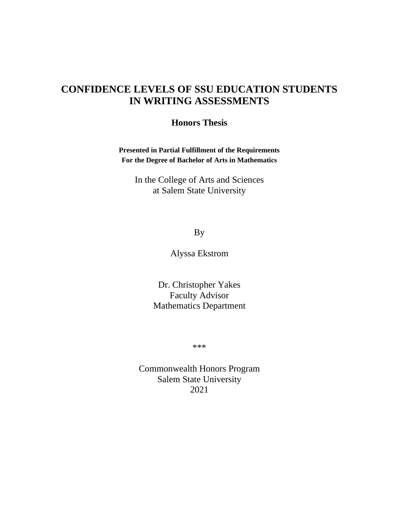# **CONFIDENCE LEVELS OF SSU EDUCATION STUDENTS IN WRITING ASSESSMENTS**

# **Honors Thesis**

**Presented in Partial Fulfillment of the Requirements For the Degree of Bachelor of Arts in Mathematics**

In the College of Arts and Sciences at Salem State University

By

Alyssa Ekstrom

Dr. Christopher Yakes Faculty Advisor Mathematics Department

\*\*\*

Commonwealth Honors Program Salem State University 2021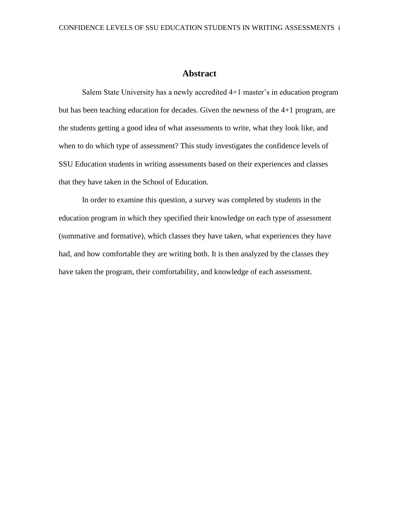# **Abstract**

<span id="page-1-0"></span>Salem State University has a newly accredited 4+1 master's in education program but has been teaching education for decades. Given the newness of the 4+1 program, are the students getting a good idea of what assessments to write, what they look like, and when to do which type of assessment? This study investigates the confidence levels of SSU Education students in writing assessments based on their experiences and classes that they have taken in the School of Education.

In order to examine this question, a survey was completed by students in the education program in which they specified their knowledge on each type of assessment (summative and formative), which classes they have taken, what experiences they have had, and how comfortable they are writing both. It is then analyzed by the classes they have taken the program, their comfortability, and knowledge of each assessment.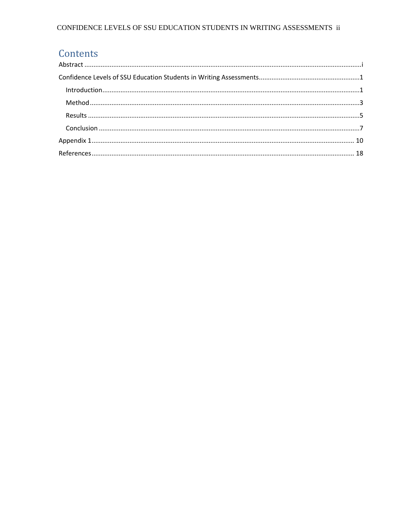# CONFIDENCE LEVELS OF SSU EDUCATION STUDENTS IN WRITING ASSESSMENTS  $\,$  ii

# Contents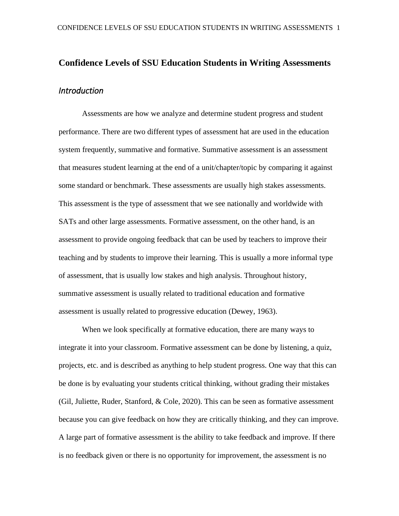# <span id="page-3-1"></span><span id="page-3-0"></span>**Confidence Levels of SSU Education Students in Writing Assessments** *Introduction*

Assessments are how we analyze and determine student progress and student performance. There are two different types of assessment hat are used in the education system frequently, summative and formative. Summative assessment is an assessment that measures student learning at the end of a unit/chapter/topic by comparing it against some standard or benchmark. These assessments are usually high stakes assessments. This assessment is the type of assessment that we see nationally and worldwide with SATs and other large assessments. Formative assessment, on the other hand, is an assessment to provide ongoing feedback that can be used by teachers to improve their teaching and by students to improve their learning. This is usually a more informal type of assessment, that is usually low stakes and high analysis. Throughout history, summative assessment is usually related to traditional education and formative assessment is usually related to progressive education (Dewey, 1963).

When we look specifically at formative education, there are many ways to integrate it into your classroom. Formative assessment can be done by listening, a quiz, projects, etc. and is described as anything to help student progress. One way that this can be done is by evaluating your students critical thinking, without grading their mistakes (Gil, Juliette, Ruder, Stanford, & Cole, 2020). This can be seen as formative assessment because you can give feedback on how they are critically thinking, and they can improve. A large part of formative assessment is the ability to take feedback and improve. If there is no feedback given or there is no opportunity for improvement, the assessment is no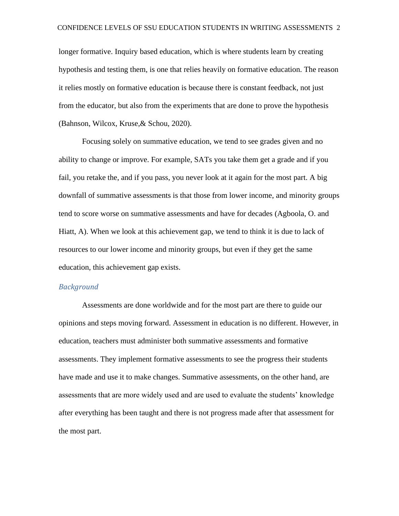longer formative. Inquiry based education, which is where students learn by creating hypothesis and testing them, is one that relies heavily on formative education. The reason it relies mostly on formative education is because there is constant feedback, not just from the educator, but also from the experiments that are done to prove the hypothesis (Bahnson, Wilcox, Kruse,& Schou, 2020).

Focusing solely on summative education, we tend to see grades given and no ability to change or improve. For example, SATs you take them get a grade and if you fail, you retake the, and if you pass, you never look at it again for the most part. A big downfall of summative assessments is that those from lower income, and minority groups tend to score worse on summative assessments and have for decades (Agboola, O. and Hiatt, A). When we look at this achievement gap, we tend to think it is due to lack of resources to our lower income and minority groups, but even if they get the same education, this achievement gap exists.

## *Background*

Assessments are done worldwide and for the most part are there to guide our opinions and steps moving forward. Assessment in education is no different. However, in education, teachers must administer both summative assessments and formative assessments. They implement formative assessments to see the progress their students have made and use it to make changes. Summative assessments, on the other hand, are assessments that are more widely used and are used to evaluate the students' knowledge after everything has been taught and there is not progress made after that assessment for the most part.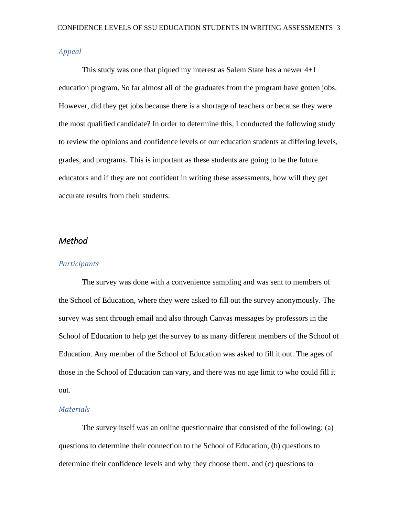#### *Appeal*

This study was one that piqued my interest as Salem State has a newer  $4+1$ education program. So far almost all of the graduates from the program have gotten jobs. However, did they get jobs because there is a shortage of teachers or because they were the most qualified candidate? In order to determine this, I conducted the following study to review the opinions and confidence levels of our education students at differing levels, grades, and programs. This is important as these students are going to be the future educators and if they are not confident in writing these assessments, how will they get accurate results from their students.

# <span id="page-5-0"></span>*Method*

#### *Participants*

The survey was done with a convenience sampling and was sent to members of the School of Education, where they were asked to fill out the survey anonymously. The survey was sent through email and also through Canvas messages by professors in the School of Education to help get the survey to as many different members of the School of Education. Any member of the School of Education was asked to fill it out. The ages of those in the School of Education can vary, and there was no age limit to who could fill it out.

#### *Materials*

The survey itself was an online questionnaire that consisted of the following: (a) questions to determine their connection to the School of Education, (b) questions to determine their confidence levels and why they choose them, and (c) questions to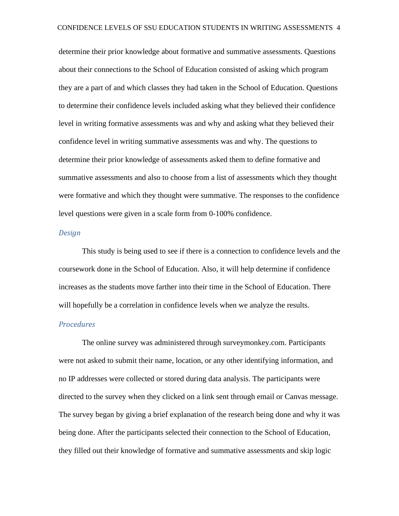determine their prior knowledge about formative and summative assessments. Questions about their connections to the School of Education consisted of asking which program they are a part of and which classes they had taken in the School of Education. Questions to determine their confidence levels included asking what they believed their confidence level in writing formative assessments was and why and asking what they believed their confidence level in writing summative assessments was and why. The questions to determine their prior knowledge of assessments asked them to define formative and summative assessments and also to choose from a list of assessments which they thought were formative and which they thought were summative. The responses to the confidence level questions were given in a scale form from 0-100% confidence.

#### *Design*

This study is being used to see if there is a connection to confidence levels and the coursework done in the School of Education. Also, it will help determine if confidence increases as the students move farther into their time in the School of Education. There will hopefully be a correlation in confidence levels when we analyze the results.

# *Procedures*

The online survey was administered through surveymonkey.com. Participants were not asked to submit their name, location, or any other identifying information, and no IP addresses were collected or stored during data analysis. The participants were directed to the survey when they clicked on a link sent through email or Canvas message. The survey began by giving a brief explanation of the research being done and why it was being done. After the participants selected their connection to the School of Education, they filled out their knowledge of formative and summative assessments and skip logic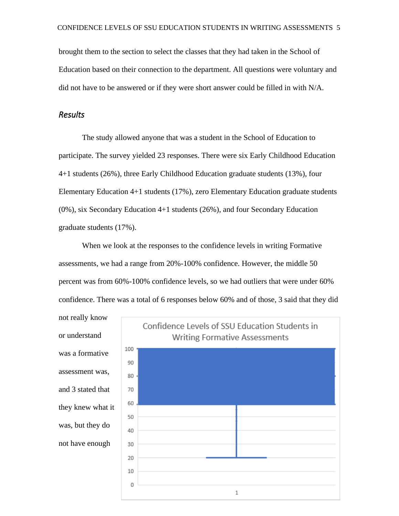brought them to the section to select the classes that they had taken in the School of Education based on their connection to the department. All questions were voluntary and did not have to be answered or if they were short answer could be filled in with N/A.

# <span id="page-7-0"></span>*Results*

The study allowed anyone that was a student in the School of Education to participate. The survey yielded 23 responses. There were six Early Childhood Education 4+1 students (26%), three Early Childhood Education graduate students (13%), four Elementary Education 4+1 students (17%), zero Elementary Education graduate students (0%), six Secondary Education 4+1 students (26%), and four Secondary Education graduate students (17%).

When we look at the responses to the confidence levels in writing Formative assessments, we had a range from 20%-100% confidence. However, the middle 50 percent was from 60%-100% confidence levels, so we had outliers that were under 60% confidence. There was a total of 6 responses below 60% and of those, 3 said that they did

not really know or understand was a formative assessment was, and 3 stated that they knew what it was, but they do not have enough

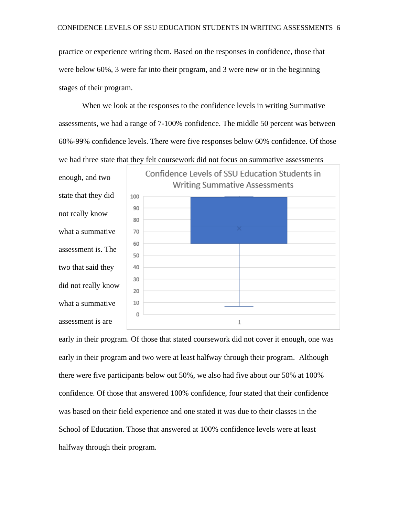practice or experience writing them. Based on the responses in confidence, those that were below 60%, 3 were far into their program, and 3 were new or in the beginning stages of their program.

When we look at the responses to the confidence levels in writing Summative assessments, we had a range of 7-100% confidence. The middle 50 percent was between 60%-99% confidence levels. There were five responses below 60% confidence. Of those we had three state that they felt coursework did not focus on summative assessments



early in their program. Of those that stated coursework did not cover it enough, one was early in their program and two were at least halfway through their program. Although there were five participants below out 50%, we also had five about our 50% at 100% confidence. Of those that answered 100% confidence, four stated that their confidence was based on their field experience and one stated it was due to their classes in the School of Education. Those that answered at 100% confidence levels were at least halfway through their program.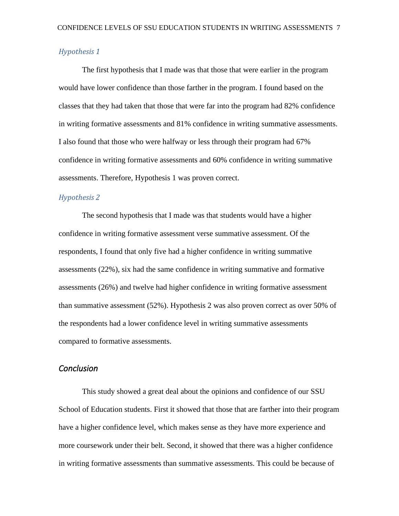## *Hypothesis 1*

The first hypothesis that I made was that those that were earlier in the program would have lower confidence than those farther in the program. I found based on the classes that they had taken that those that were far into the program had 82% confidence in writing formative assessments and 81% confidence in writing summative assessments. I also found that those who were halfway or less through their program had 67% confidence in writing formative assessments and 60% confidence in writing summative assessments. Therefore, Hypothesis 1 was proven correct.

## *Hypothesis 2*

The second hypothesis that I made was that students would have a higher confidence in writing formative assessment verse summative assessment. Of the respondents, I found that only five had a higher confidence in writing summative assessments (22%), six had the same confidence in writing summative and formative assessments (26%) and twelve had higher confidence in writing formative assessment than summative assessment (52%). Hypothesis 2 was also proven correct as over 50% of the respondents had a lower confidence level in writing summative assessments compared to formative assessments.

# <span id="page-9-0"></span>*Conclusion*

This study showed a great deal about the opinions and confidence of our SSU School of Education students. First it showed that those that are farther into their program have a higher confidence level, which makes sense as they have more experience and more coursework under their belt. Second, it showed that there was a higher confidence in writing formative assessments than summative assessments. This could be because of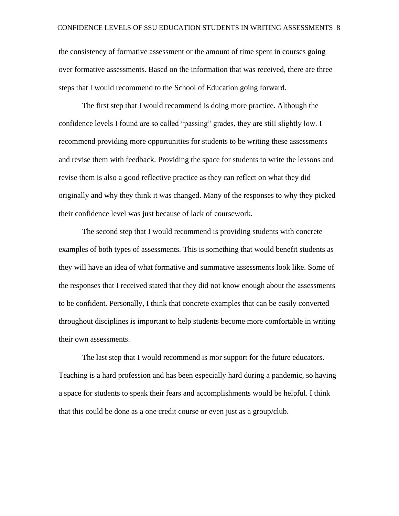the consistency of formative assessment or the amount of time spent in courses going over formative assessments. Based on the information that was received, there are three steps that I would recommend to the School of Education going forward.

The first step that I would recommend is doing more practice. Although the confidence levels I found are so called "passing" grades, they are still slightly low. I recommend providing more opportunities for students to be writing these assessments and revise them with feedback. Providing the space for students to write the lessons and revise them is also a good reflective practice as they can reflect on what they did originally and why they think it was changed. Many of the responses to why they picked their confidence level was just because of lack of coursework.

The second step that I would recommend is providing students with concrete examples of both types of assessments. This is something that would benefit students as they will have an idea of what formative and summative assessments look like. Some of the responses that I received stated that they did not know enough about the assessments to be confident. Personally, I think that concrete examples that can be easily converted throughout disciplines is important to help students become more comfortable in writing their own assessments.

The last step that I would recommend is mor support for the future educators. Teaching is a hard profession and has been especially hard during a pandemic, so having a space for students to speak their fears and accomplishments would be helpful. I think that this could be done as a one credit course or even just as a group/club.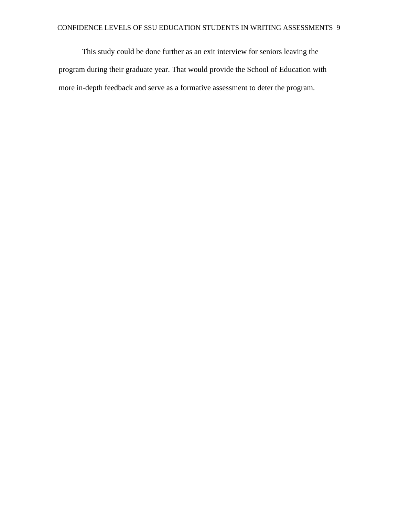This study could be done further as an exit interview for seniors leaving the program during their graduate year. That would provide the School of Education with more in-depth feedback and serve as a formative assessment to deter the program.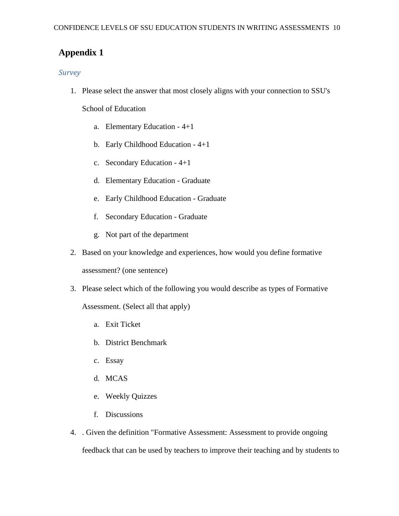# <span id="page-12-0"></span>**Appendix 1**

# *Survey*

1. Please select the answer that most closely aligns with your connection to SSU's

School of Education

- a. Elementary Education 4+1
- b. Early Childhood Education 4+1
- c. Secondary Education 4+1
- d. Elementary Education Graduate
- e. Early Childhood Education Graduate
- f. Secondary Education Graduate
- g. Not part of the department
- 2. Based on your knowledge and experiences, how would you define formative

assessment? (one sentence)

3. Please select which of the following you would describe as types of Formative

Assessment. (Select all that apply)

- a. Exit Ticket
- b. District Benchmark
- c. Essay
- d. MCAS
- e. Weekly Quizzes
- f. Discussions
- 4. . Given the definition "Formative Assessment: Assessment to provide ongoing feedback that can be used by teachers to improve their teaching and by students to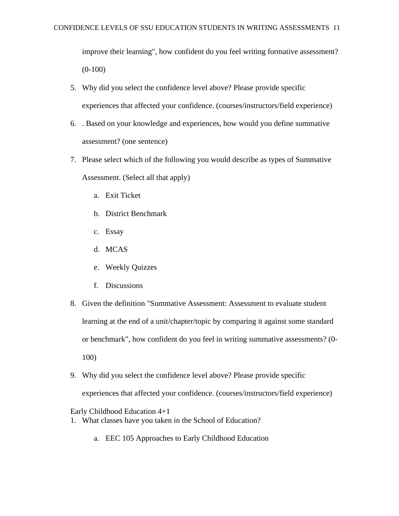improve their learning", how confident do you feel writing formative assessment?  $(0-100)$ 

- 5. Why did you select the confidence level above? Please provide specific experiences that affected your confidence. (courses/instructors/field experience)
- 6. . Based on your knowledge and experiences, how would you define summative assessment? (one sentence)
- 7. Please select which of the following you would describe as types of Summative Assessment. (Select all that apply)
	- a. Exit Ticket
	- b. District Benchmark
	- c. Essay
	- d. MCAS
	- e. Weekly Quizzes
	- f. Discussions
- 8. Given the definition "Summative Assessment: Assessment to evaluate student learning at the end of a unit/chapter/topic by comparing it against some standard or benchmark", how confident do you feel in writing summative assessments? (0- 100)
- 9. Why did you select the confidence level above? Please provide specific experiences that affected your confidence. (courses/instructors/field experience)

Early Childhood Education 4+1

- 1. What classes have you taken in the School of Education?
	- a. EEC 105 Approaches to Early Childhood Education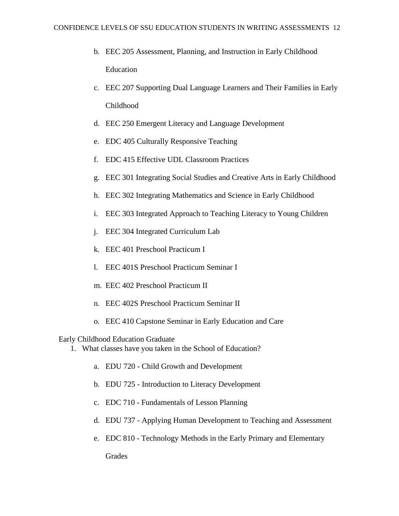- b. EEC 205 Assessment, Planning, and Instruction in Early Childhood Education
- c. EEC 207 Supporting Dual Language Learners and Their Families in Early Childhood
- d. EEC 250 Emergent Literacy and Language Development
- e. EDC 405 Culturally Responsive Teaching
- f. EDC 415 Effective UDL Classroom Practices
- g. EEC 301 Integrating Social Studies and Creative Arts in Early Childhood
- h. EEC 302 Integrating Mathematics and Science in Early Childhood
- i. EEC 303 Integrated Approach to Teaching Literacy to Young Children
- j. EEC 304 Integrated Curriculum Lab
- k. EEC 401 Preschool Practicum I
- l. EEC 401S Preschool Practicum Seminar I
- m. EEC 402 Preschool Practicum II
- n. EEC 402S Preschool Practicum Seminar II
- o. EEC 410 Capstone Seminar in Early Education and Care

Early Childhood Education Graduate

- 1. What classes have you taken in the School of Education?
	- a. EDU 720 Child Growth and Development
	- b. EDU 725 Introduction to Literacy Development
	- c. EDC 710 Fundamentals of Lesson Planning
	- d. EDU 737 Applying Human Development to Teaching and Assessment
	- e. EDC 810 Technology Methods in the Early Primary and Elementary

Grades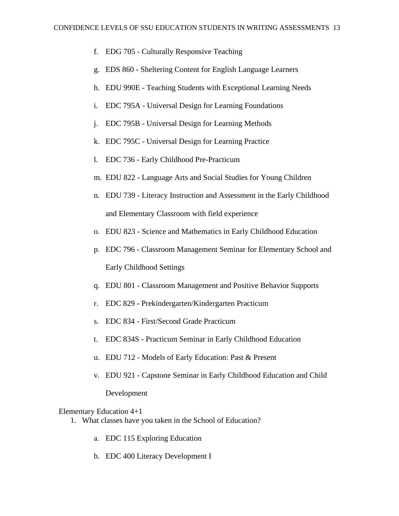- f. EDG 705 Culturally Responsive Teaching
- g. EDS 860 Sheltering Content for English Language Learners
- h. EDU 990E Teaching Students with Exceptional Learning Needs
- i. EDC 795A Universal Design for Learning Foundations
- j. EDC 795B Universal Design for Learning Methods
- k. EDC 795C Universal Design for Learning Practice
- l. EDC 736 Early Childhood Pre-Practicum
- m. EDU 822 Language Arts and Social Studies for Young Children
- n. EDU 739 Literacy Instruction and Assessment in the Early Childhood and Elementary Classroom with field experience
- o. EDU 823 Science and Mathematics in Early Childhood Education
- p. EDC 796 Classroom Management Seminar for Elementary School and Early Childhood Settings
- q. EDU 801 Classroom Management and Positive Behavior Supports
- r. EDC 829 Prekindergarten/Kindergarten Practicum
- s. EDC 834 First/Second Grade Practicum
- t. EDC 834S Practicum Seminar in Early Childhood Education
- u. EDU 712 Models of Early Education: Past & Present
- v. EDU 921 Capstone Seminar in Early Childhood Education and Child

Development

Elementary Education 4+1

- 1. What classes have you taken in the School of Education?
	- a. EDC 115 Exploring Education
	- b. EDC 400 Literacy Development I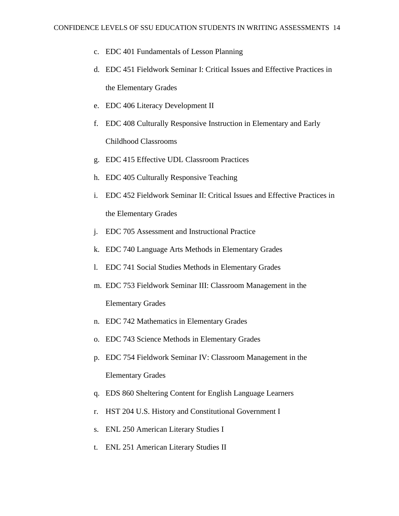- c. EDC 401 Fundamentals of Lesson Planning
- d. EDC 451 Fieldwork Seminar I: Critical Issues and Effective Practices in the Elementary Grades
- e. EDC 406 Literacy Development II
- f. EDC 408 Culturally Responsive Instruction in Elementary and Early Childhood Classrooms
- g. EDC 415 Effective UDL Classroom Practices
- h. EDC 405 Culturally Responsive Teaching
- i. EDC 452 Fieldwork Seminar II: Critical Issues and Effective Practices in the Elementary Grades
- j. EDC 705 Assessment and Instructional Practice
- k. EDC 740 Language Arts Methods in Elementary Grades
- l. EDC 741 Social Studies Methods in Elementary Grades
- m. EDC 753 Fieldwork Seminar III: Classroom Management in the Elementary Grades
- n. EDC 742 Mathematics in Elementary Grades
- o. EDC 743 Science Methods in Elementary Grades
- p. EDC 754 Fieldwork Seminar IV: Classroom Management in the Elementary Grades
- q. EDS 860 Sheltering Content for English Language Learners
- r. HST 204 U.S. History and Constitutional Government I
- s. ENL 250 American Literary Studies I
- t. ENL 251 American Literary Studies II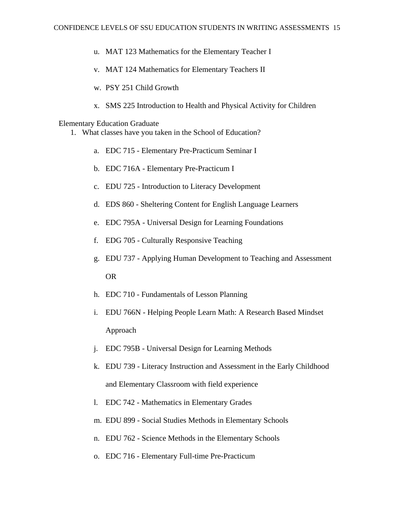- u. MAT 123 Mathematics for the Elementary Teacher I
- v. MAT 124 Mathematics for Elementary Teachers II
- w. PSY 251 Child Growth
- x. SMS 225 Introduction to Health and Physical Activity for Children

#### Elementary Education Graduate

- 1. What classes have you taken in the School of Education?
	- a. EDC 715 Elementary Pre-Practicum Seminar I
	- b. EDC 716A Elementary Pre-Practicum I
	- c. EDU 725 Introduction to Literacy Development
	- d. EDS 860 Sheltering Content for English Language Learners
	- e. EDC 795A Universal Design for Learning Foundations
	- f. EDG 705 Culturally Responsive Teaching
	- g. EDU 737 Applying Human Development to Teaching and Assessment OR
	- h. EDC 710 Fundamentals of Lesson Planning
	- i. EDU 766N Helping People Learn Math: A Research Based Mindset Approach
	- j. EDC 795B Universal Design for Learning Methods
	- k. EDU 739 Literacy Instruction and Assessment in the Early Childhood and Elementary Classroom with field experience
	- l. EDC 742 Mathematics in Elementary Grades
	- m. EDU 899 Social Studies Methods in Elementary Schools
	- n. EDU 762 Science Methods in the Elementary Schools
	- o. EDC 716 Elementary Full-time Pre-Practicum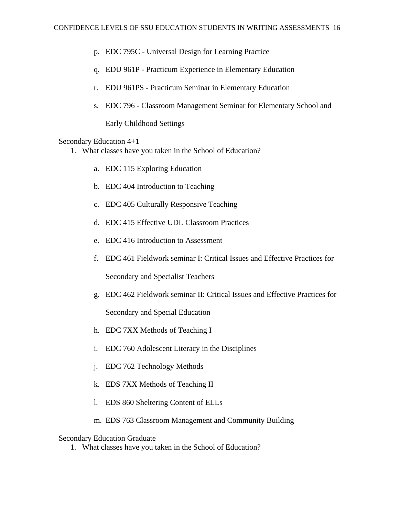- p. EDC 795C Universal Design for Learning Practice
- q. EDU 961P Practicum Experience in Elementary Education
- r. EDU 961PS Practicum Seminar in Elementary Education
- s. EDC 796 Classroom Management Seminar for Elementary School and

Early Childhood Settings

Secondary Education 4+1

- 1. What classes have you taken in the School of Education?
	- a. EDC 115 Exploring Education
	- b. EDC 404 Introduction to Teaching
	- c. EDC 405 Culturally Responsive Teaching
	- d. EDC 415 Effective UDL Classroom Practices
	- e. EDC 416 Introduction to Assessment
	- f. EDC 461 Fieldwork seminar I: Critical Issues and Effective Practices for Secondary and Specialist Teachers
	- g. EDC 462 Fieldwork seminar II: Critical Issues and Effective Practices for

Secondary and Special Education

- h. EDC 7XX Methods of Teaching I
- i. EDC 760 Adolescent Literacy in the Disciplines
- j. EDC 762 Technology Methods
- k. EDS 7XX Methods of Teaching II
- l. EDS 860 Sheltering Content of ELLs
- m. EDS 763 Classroom Management and Community Building

#### Secondary Education Graduate

1. What classes have you taken in the School of Education?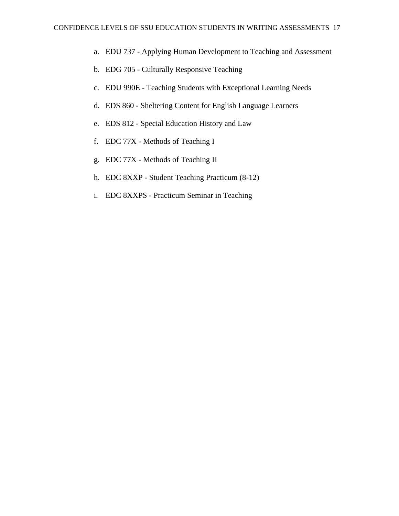- a. EDU 737 Applying Human Development to Teaching and Assessment
- b. EDG 705 Culturally Responsive Teaching
- c. EDU 990E Teaching Students with Exceptional Learning Needs
- d. EDS 860 Sheltering Content for English Language Learners
- e. EDS 812 Special Education History and Law
- f. EDC 77X Methods of Teaching I
- g. EDC 77X Methods of Teaching II
- h. EDC 8XXP Student Teaching Practicum (8-12)
- i. EDC 8XXPS Practicum Seminar in Teaching